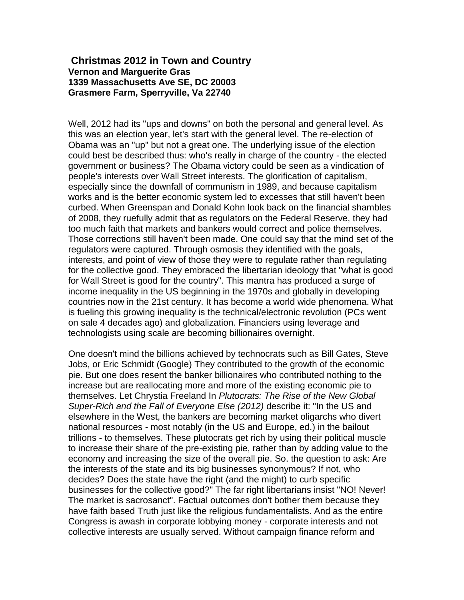## **Christmas 2012 in Town and Country Vernon and Marguerite Gras 1339 Massachusetts Ave SE, DC 20003 Grasmere Farm, Sperryville, Va 22740**

Well, 2012 had its "ups and downs" on both the personal and general level. As this was an election year, let's start with the general level. The re-election of Obama was an "up" but not a great one. The underlying issue of the election could best be described thus: who's really in charge of the country - the elected government or business? The Obama victory could be seen as a vindication of people's interests over Wall Street interests. The glorification of capitalism, especially since the downfall of communism in 1989, and because capitalism works and is the better economic system led to excesses that still haven't been curbed. When Greenspan and Donald Kohn look back on the financial shambles of 2008, they ruefully admit that as regulators on the Federal Reserve, they had too much faith that markets and bankers would correct and police themselves. Those corrections still haven't been made. One could say that the mind set of the regulators were captured. Through osmosis they identified with the goals, interests, and point of view of those they were to regulate rather than regulating for the collective good. They embraced the libertarian ideology that "what is good for Wall Street is good for the country". This mantra has produced a surge of income inequality in the US beginning in the 1970s and globally in developing countries now in the 21st century. It has become a world wide phenomena. What is fueling this growing inequality is the technical/electronic revolution (PCs went on sale 4 decades ago) and globalization. Financiers using leverage and technologists using scale are becoming billionaires overnight.

One doesn't mind the billions achieved by technocrats such as Bill Gates, Steve Jobs, or Eric Schmidt (Google) They contributed to the growth of the economic pie. But one does resent the banker billionaires who contributed nothing to the increase but are reallocating more and more of the existing economic pie to themselves. Let Chrystia Freeland In *Plutocrats: The Rise of the New Global Super-Rich and the Fall of Everyone Else (2012)* describe it: "In the US and elsewhere in the West, the bankers are becoming market oligarchs who divert national resources - most notably (in the US and Europe, ed.) in the bailout trillions - to themselves. These plutocrats get rich by using their political muscle to increase their share of the pre-existing pie, rather than by adding value to the economy and increasing the size of the overall pie. So. the question to ask: Are the interests of the state and its big businesses synonymous? If not, who decides? Does the state have the right (and the might) to curb specific businesses for the collective good?" The far right libertarians insist "NO! Never! The market is sacrosanct". Factual outcomes don't bother them because they have faith based Truth just like the religious fundamentalists. And as the entire Congress is awash in corporate lobbying money - corporate interests and not collective interests are usually served. Without campaign finance reform and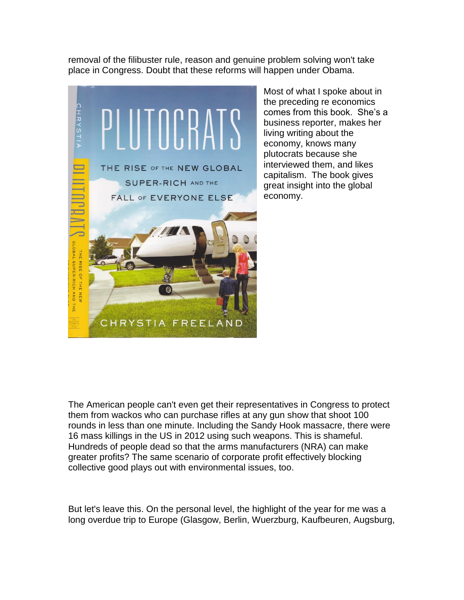removal of the filibuster rule, reason and genuine problem solving won't take place in Congress. Doubt that these reforms will happen under Obama.



Most of what I spoke about in the preceding re economics comes from this book. She's a business reporter, makes her living writing about the economy, knows many plutocrats because she interviewed them, and likes capitalism. The book gives great insight into the global economy.

The American people can't even get their representatives in Congress to protect them from wackos who can purchase rifles at any gun show that shoot 100 rounds in less than one minute. Including the Sandy Hook massacre, there were 16 mass killings in the US in 2012 using such weapons. This is shameful. Hundreds of people dead so that the arms manufacturers (NRA) can make greater profits? The same scenario of corporate profit effectively blocking collective good plays out with environmental issues, too.

But let's leave this. On the personal level, the highlight of the year for me was a long overdue trip to Europe (Glasgow, Berlin, Wuerzburg, Kaufbeuren, Augsburg,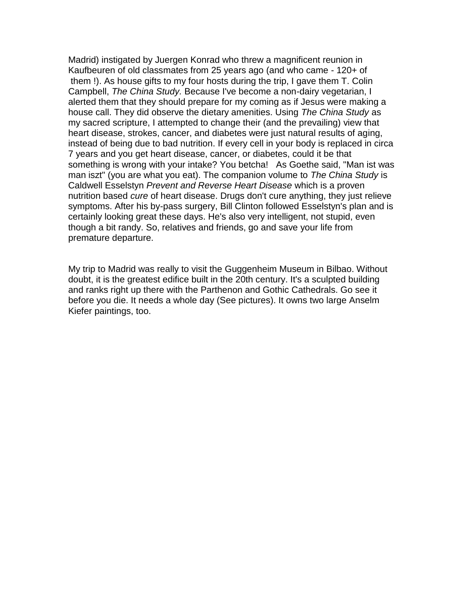Madrid) instigated by Juergen Konrad who threw a magnificent reunion in Kaufbeuren of old classmates from 25 years ago (and who came - 120+ of them !). As house gifts to my four hosts during the trip, I gave them T. Colin Campbell, *The China Study.* Because I've become a non-dairy vegetarian, I alerted them that they should prepare for my coming as if Jesus were making a house call. They did observe the dietary amenities. Using *The China Study* as my sacred scripture, I attempted to change their (and the prevailing) view that heart disease, strokes, cancer, and diabetes were just natural results of aging, instead of being due to bad nutrition. If every cell in your body is replaced in circa 7 years and you get heart disease, cancer, or diabetes, could it be that something is wrong with your intake? You betcha! As Goethe said, "Man ist was man iszt" (you are what you eat). The companion volume to *The China Study* is Caldwell Esselstyn *Prevent and Reverse Heart Disease* which is a proven nutrition based *cure* of heart disease. Drugs don't cure anything, they just relieve symptoms. After his by-pass surgery, Bill Clinton followed Esselstyn's plan and is certainly looking great these days. He's also very intelligent, not stupid, even though a bit randy. So, relatives and friends, go and save your life from premature departure.

My trip to Madrid was really to visit the Guggenheim Museum in Bilbao. Without doubt, it is the greatest edifice built in the 20th century. It's a sculpted building and ranks right up there with the Parthenon and Gothic Cathedrals. Go see it before you die. It needs a whole day (See pictures). It owns two large Anselm Kiefer paintings, too.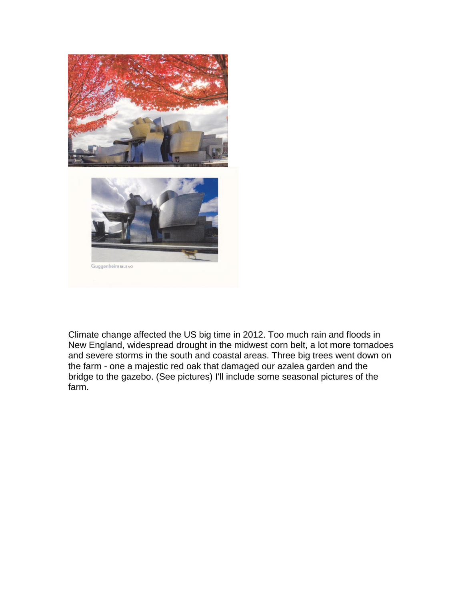

Climate change affected the US big time in 2012. Too much rain and floods in New England, widespread drought in the midwest corn belt, a lot more tornadoes and severe storms in the south and coastal areas. Three big trees went down on the farm - one a majestic red oak that damaged our azalea garden and the bridge to the gazebo. (See pictures) I'll include some seasonal pictures of the farm.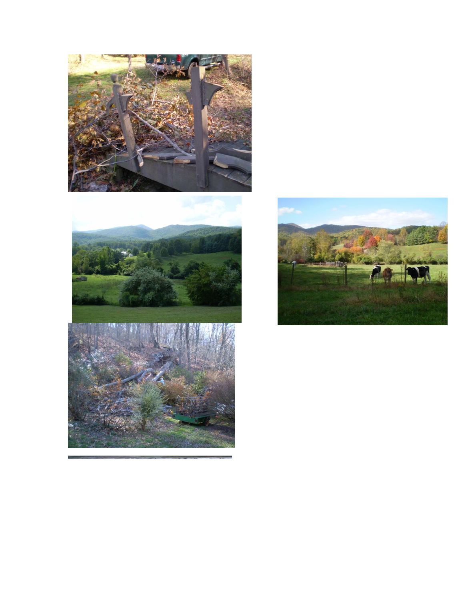



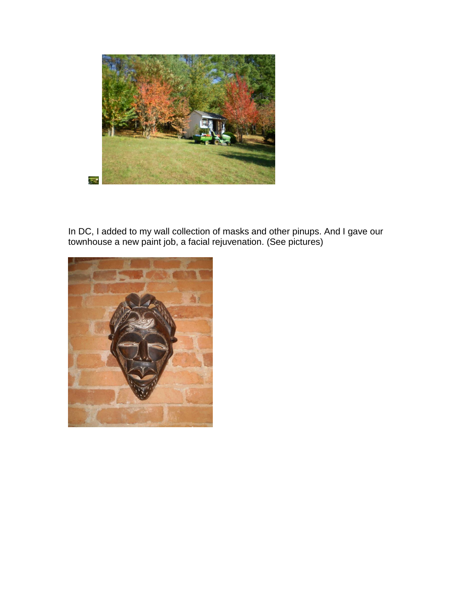

In DC, I added to my wall collection of masks and other pinups. And I gave our townhouse a new paint job, a facial rejuvenation. (See pictures)

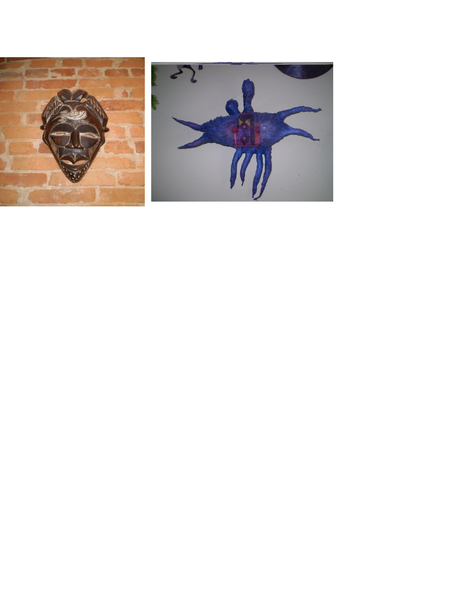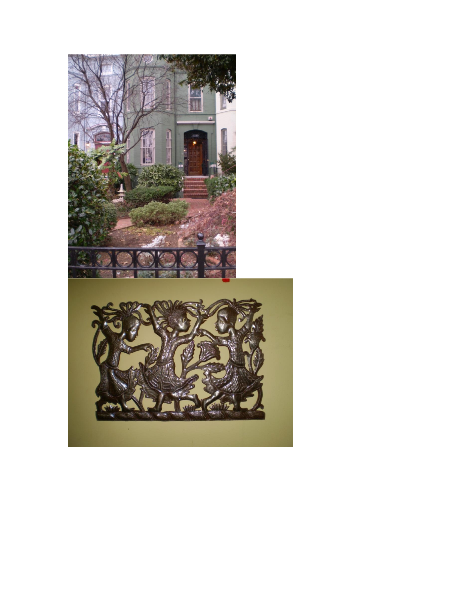